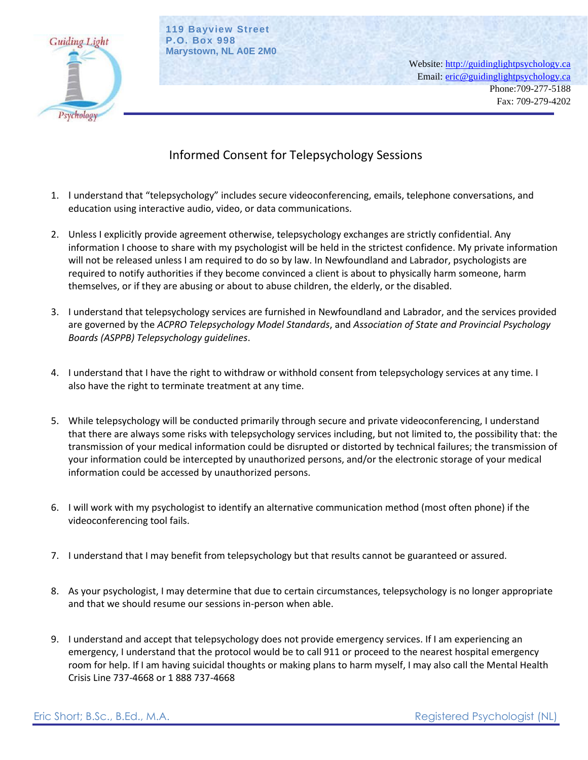

**119 Bayview Street P.O. Box 998 Marystown, NL A0E 2M0**

> Website: [http://guidinglightpsychology.ca](http://guidinglightpsychology.ca/) Email: [eric@guidinglightpsychology.ca](mailto:eric@guidinglightpsychology.ca) Phone:709-277-5188 Fax: 709-279-4202

## Informed Consent for Telepsychology Sessions

- 1. I understand that "telepsychology" includes secure videoconferencing, emails, telephone conversations, and education using interactive audio, video, or data communications.
- 2. Unless I explicitly provide agreement otherwise, telepsychology exchanges are strictly confidential. Any information I choose to share with my psychologist will be held in the strictest confidence. My private information will not be released unless I am required to do so by law. In Newfoundland and Labrador, psychologists are required to notify authorities if they become convinced a client is about to physically harm someone, harm themselves, or if they are abusing or about to abuse children, the elderly, or the disabled.
- 3. I understand that telepsychology services are furnished in Newfoundland and Labrador, and the services provided are governed by the *ACPRO Telepsychology Model Standards*, and *Association of State and Provincial Psychology Boards (ASPPB) Telepsychology guidelines*.
- 4. I understand that I have the right to withdraw or withhold consent from telepsychology services at any time. I also have the right to terminate treatment at any time.
- 5. While telepsychology will be conducted primarily through secure and private videoconferencing, I understand that there are always some risks with telepsychology services including, but not limited to, the possibility that: the transmission of your medical information could be disrupted or distorted by technical failures; the transmission of your information could be intercepted by unauthorized persons, and/or the electronic storage of your medical information could be accessed by unauthorized persons.
- 6. I will work with my psychologist to identify an alternative communication method (most often phone) if the videoconferencing tool fails.
- 7. I understand that I may benefit from telepsychology but that results cannot be guaranteed or assured.
- 8. As your psychologist, I may determine that due to certain circumstances, telepsychology is no longer appropriate and that we should resume our sessions in-person when able.
- 9. I understand and accept that telepsychology does not provide emergency services. If I am experiencing an emergency, I understand that the protocol would be to call 911 or proceed to the nearest hospital emergency room for help. If I am having suicidal thoughts or making plans to harm myself, I may also call the Mental Health Crisis Line 737-4668 or 1 888 737-4668